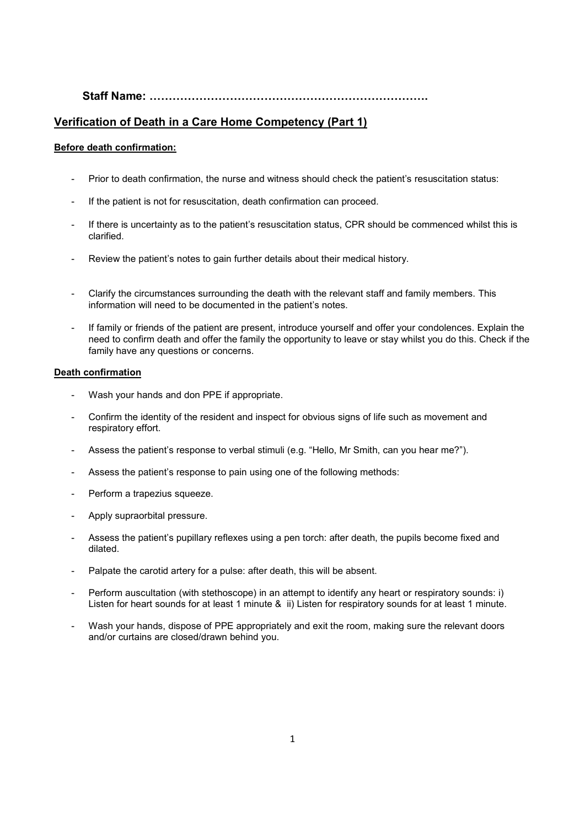## **Staff Name: .**

## **Verification of Death in a Care Home Competency (Part 1)**

### **Before death confirmation:**

- Prior to death confirmation, the nurse and witness should check the patient's resuscitation status:
- If the patient is not for resuscitation, death confirmation can proceed.
- If there is uncertainty as to the patient's resuscitation status, CPR should be commenced whilst this is clarified.
- Review the patient's notes to gain further details about their medical history.
- Clarify the circumstances surrounding the death with the relevant staff and family members. This information will need to be documented in the patient's notes.
- If family or friends of the patient are present, introduce yourself and offer your condolences. Explain the need to confirm death and offer the family the opportunity to leave or stay whilst you do this. Check if the family have any questions or concerns.

#### **Death confirmation**

- Wash your hands and don PPE if appropriate.
- Confirm the identity of the resident and inspect for obvious signs of life such as movement and respiratory effort.
- Assess the patient's response to verbal stimuli (e.g. "Hello, Mr Smith, can you hear me?").
- Assess the patient's response to pain using one of the following methods:
- Perform a trapezius squeeze.
- Apply supraorbital pressure.
- Assess the patient's pupillary reflexes using a pen torch: after death, the pupils become fixed and dilated.
- Palpate the carotid artery for a pulse: after death, this will be absent.
- Perform auscultation (with stethoscope) in an attempt to identify any heart or respiratory sounds: i) Listen for heart sounds for at least 1 minute & ii) Listen for respiratory sounds for at least 1 minute.
- Wash your hands, dispose of PPE appropriately and exit the room, making sure the relevant doors and/or curtains are closed/drawn behind you.